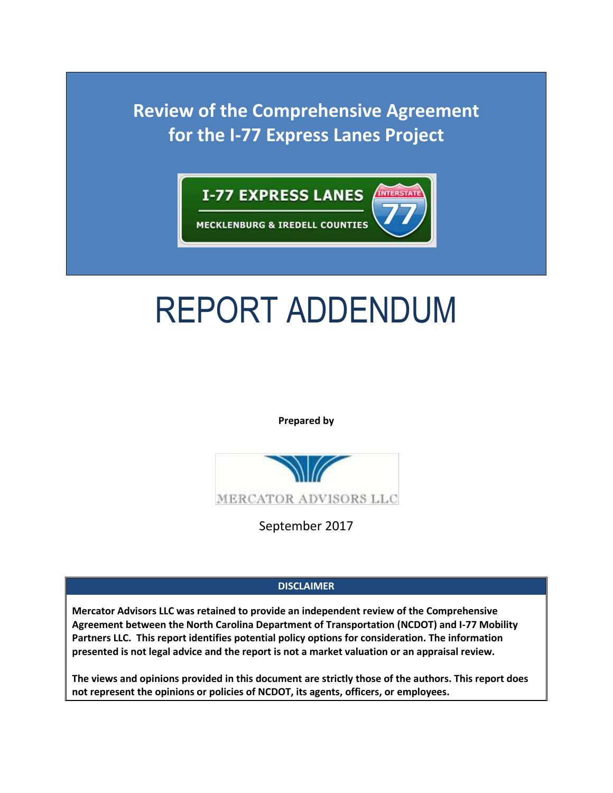

# REPORT ADDENDUM

**Prepared by**



September 2017

# **DISCLAIMER**

**Mercator Advisors LLC was retained to provide an independent review of the Comprehensive Agreement between the North Carolina Department of Transportation (NCDOT) and I-77 Mobility Partners LLC. This report identifies potential policy options for consideration. The information presented is not legal advice and the report is not a market valuation or an appraisal review.**

**The views and opinions provided in this document are strictly those of the authors. This report does not represent the opinions or policies of NCDOT, its agents, officers, or employees.**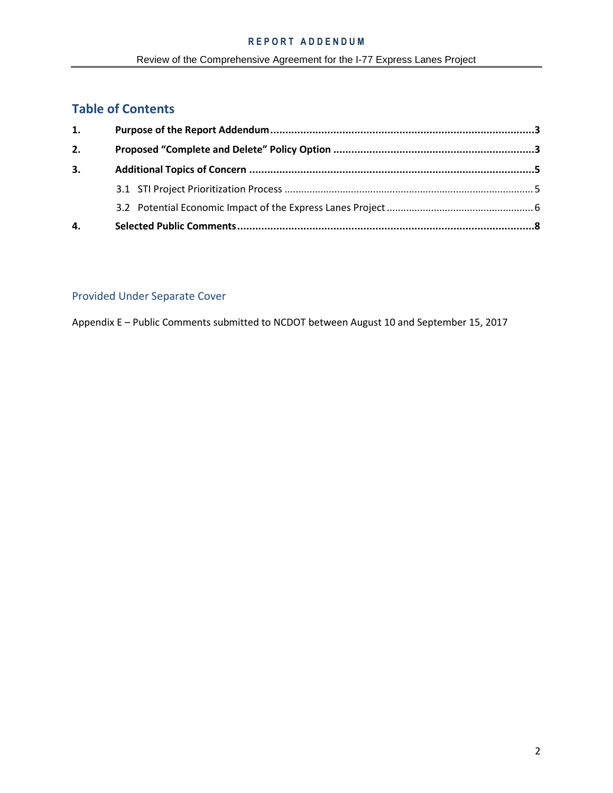# **Table of Contents**

| 1. |  |  |  |  |
|----|--|--|--|--|
| 2. |  |  |  |  |
| 3. |  |  |  |  |
|    |  |  |  |  |
|    |  |  |  |  |
| 4. |  |  |  |  |

# Provided Under Separate Cover

Appendix E – Public Comments submitted to NCDOT between August 10 and September 15, 2017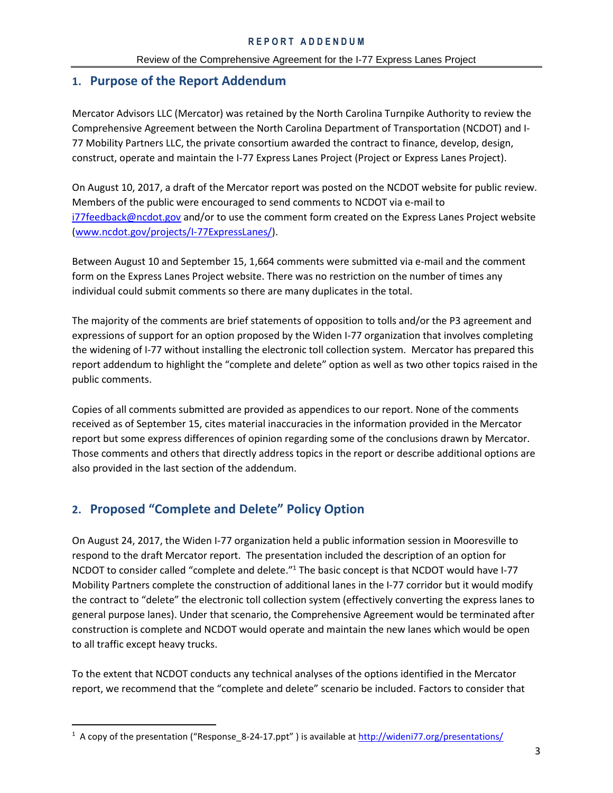# <span id="page-2-0"></span>**1. Purpose of the Report Addendum**

Mercator Advisors LLC (Mercator) was retained by the North Carolina Turnpike Authority to review the Comprehensive Agreement between the North Carolina Department of Transportation (NCDOT) and I-77 Mobility Partners LLC, the private consortium awarded the contract to finance, develop, design, construct, operate and maintain the I-77 Express Lanes Project (Project or Express Lanes Project).

On August 10, 2017, a draft of the Mercator report was posted on the NCDOT website for public review. Members of the public were encouraged to send comments to NCDOT via e-mail to [i77feedback@ncdot.gov](mailto:i77feedback@ncdot.gov) and/or to use the comment form created on the Express Lanes Project website [\(www.ncdot.gov/projects/I-77ExpressLanes/\)](http://www.ncdot.gov/projects/I-77ExpressLanes/).

Between August 10 and September 15, 1,664 comments were submitted via e-mail and the comment form on the Express Lanes Project website. There was no restriction on the number of times any individual could submit comments so there are many duplicates in the total.

The majority of the comments are brief statements of opposition to tolls and/or the P3 agreement and expressions of support for an option proposed by the Widen I-77 organization that involves completing the widening of I-77 without installing the electronic toll collection system. Mercator has prepared this report addendum to highlight the "complete and delete" option as well as two other topics raised in the public comments.

Copies of all comments submitted are provided as appendices to our report. None of the comments received as of September 15, cites material inaccuracies in the information provided in the Mercator report but some express differences of opinion regarding some of the conclusions drawn by Mercator. Those comments and others that directly address topics in the report or describe additional options are also provided in the last section of the addendum.

# <span id="page-2-1"></span>**2. Proposed "Complete and Delete" Policy Option**

 $\overline{a}$ 

On August 24, 2017, the Widen I-77 organization held a public information session in Mooresville to respond to the draft Mercator report. The presentation included the description of an option for NCDOT to consider called "complete and delete."<sup>1</sup> The basic concept is that NCDOT would have I-77 Mobility Partners complete the construction of additional lanes in the I-77 corridor but it would modify the contract to "delete" the electronic toll collection system (effectively converting the express lanes to general purpose lanes). Under that scenario, the Comprehensive Agreement would be terminated after construction is complete and NCDOT would operate and maintain the new lanes which would be open to all traffic except heavy trucks.

To the extent that NCDOT conducts any technical analyses of the options identified in the Mercator report, we recommend that the "complete and delete" scenario be included. Factors to consider that

<sup>&</sup>lt;sup>1</sup> A copy of the presentation ("Response\_8-24-17.ppt") is available at <http://wideni77.org/presentations/>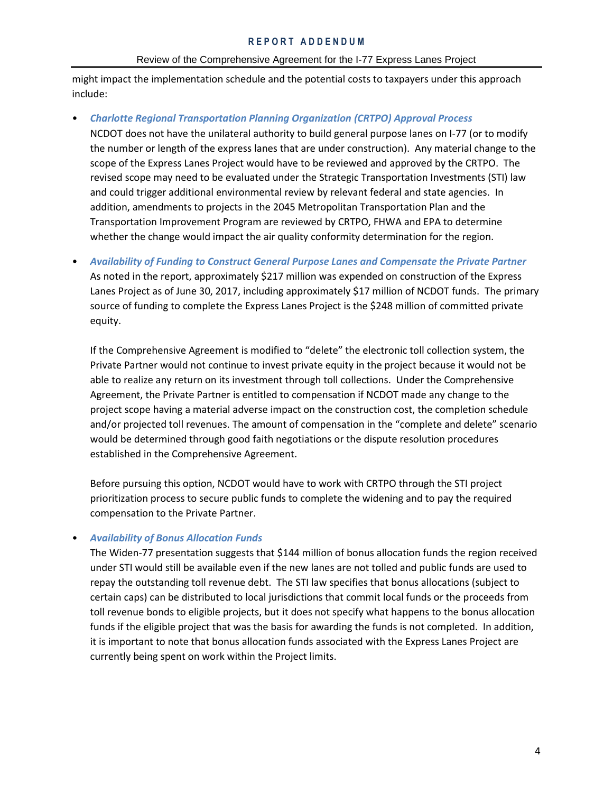#### Review of the Comprehensive Agreement for the I-77 Express Lanes Project

might impact the implementation schedule and the potential costs to taxpayers under this approach include:

# • *Charlotte Regional Transportation Planning Organization (CRTPO) Approval Process*

NCDOT does not have the unilateral authority to build general purpose lanes on I-77 (or to modify the number or length of the express lanes that are under construction). Any material change to the scope of the Express Lanes Project would have to be reviewed and approved by the CRTPO. The revised scope may need to be evaluated under the Strategic Transportation Investments (STI) law and could trigger additional environmental review by relevant federal and state agencies. In addition, amendments to projects in the 2045 Metropolitan Transportation Plan and the Transportation Improvement Program are reviewed by CRTPO, FHWA and EPA to determine whether the change would impact the air quality conformity determination for the region.

• *Availability of Funding to Construct General Purpose Lanes and Compensate the Private Partner* As noted in the report, approximately \$217 million was expended on construction of the Express Lanes Project as of June 30, 2017, including approximately \$17 million of NCDOT funds. The primary source of funding to complete the Express Lanes Project is the \$248 million of committed private equity.

If the Comprehensive Agreement is modified to "delete" the electronic toll collection system, the Private Partner would not continue to invest private equity in the project because it would not be able to realize any return on its investment through toll collections. Under the Comprehensive Agreement, the Private Partner is entitled to compensation if NCDOT made any change to the project scope having a material adverse impact on the construction cost, the completion schedule and/or projected toll revenues. The amount of compensation in the "complete and delete" scenario would be determined through good faith negotiations or the dispute resolution procedures established in the Comprehensive Agreement.

Before pursuing this option, NCDOT would have to work with CRTPO through the STI project prioritization process to secure public funds to complete the widening and to pay the required compensation to the Private Partner.

# • *Availability of Bonus Allocation Funds*

The Widen-77 presentation suggests that \$144 million of bonus allocation funds the region received under STI would still be available even if the new lanes are not tolled and public funds are used to repay the outstanding toll revenue debt. The STI law specifies that bonus allocations (subject to certain caps) can be distributed to local jurisdictions that commit local funds or the proceeds from toll revenue bonds to eligible projects, but it does not specify what happens to the bonus allocation funds if the eligible project that was the basis for awarding the funds is not completed. In addition, it is important to note that bonus allocation funds associated with the Express Lanes Project are currently being spent on work within the Project limits.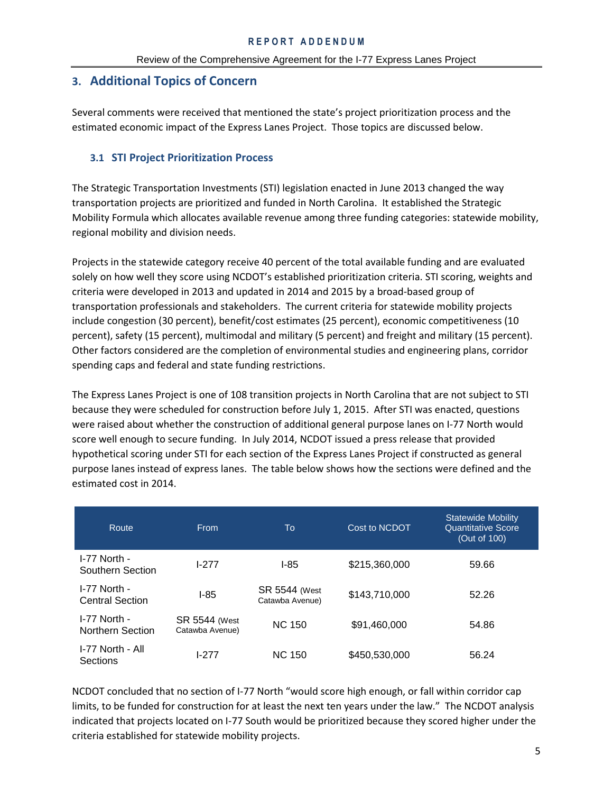# <span id="page-4-0"></span>**3. Additional Topics of Concern**

Several comments were received that mentioned the state's project prioritization process and the estimated economic impact of the Express Lanes Project. Those topics are discussed below.

# <span id="page-4-1"></span>**3.1 STI Project Prioritization Process**

The Strategic Transportation Investments (STI) legislation enacted in June 2013 changed the way transportation projects are prioritized and funded in North Carolina. It established the Strategic Mobility Formula which allocates available revenue among three funding categories: statewide mobility, regional mobility and division needs.

Projects in the statewide category receive 40 percent of the total available funding and are evaluated solely on how well they score using NCDOT's established prioritization criteria. STI scoring, weights and criteria were developed in 2013 and updated in 2014 and 2015 by a broad-based group of transportation professionals and stakeholders. The current criteria for statewide mobility projects include congestion (30 percent), benefit/cost estimates (25 percent), economic competitiveness (10 percent), safety (15 percent), multimodal and military (5 percent) and freight and military (15 percent). Other factors considered are the completion of environmental studies and engineering plans, corridor spending caps and federal and state funding restrictions.

The Express Lanes Project is one of 108 transition projects in North Carolina that are not subject to STI because they were scheduled for construction before July 1, 2015. After STI was enacted, questions were raised about whether the construction of additional general purpose lanes on I-77 North would score well enough to secure funding. In July 2014, NCDOT issued a press release that provided hypothetical scoring under STI for each section of the Express Lanes Project if constructed as general purpose lanes instead of express lanes. The table below shows how the sections were defined and the estimated cost in 2014.

| Route.                                   | From                                    | To                                      | Cost to NCDOT | <b>Statewide Mobility</b><br><b>Quantitative Score</b><br>(Out of 100) |
|------------------------------------------|-----------------------------------------|-----------------------------------------|---------------|------------------------------------------------------------------------|
| I-77 North -<br>Southern Section         | $1-277$                                 | $1-85$                                  | \$215,360,000 | 59.66                                                                  |
| $I-77$ North -<br><b>Central Section</b> | $I-85$                                  | <b>SR 5544 (West</b><br>Catawba Avenue) | \$143,710,000 | 52.26                                                                  |
| I-77 North -<br><b>Northern Section</b>  | <b>SR 5544 (West</b><br>Catawba Avenue) | <b>NC 150</b>                           | \$91,460,000  | 54.86                                                                  |
| I-77 North - All<br><b>Sections</b>      | $1-277$                                 | <b>NC 150</b>                           | \$450,530,000 | 56.24                                                                  |

NCDOT concluded that no section of I-77 North "would score high enough, or fall within corridor cap limits, to be funded for construction for at least the next ten years under the law." The NCDOT analysis indicated that projects located on I-77 South would be prioritized because they scored higher under the criteria established for statewide mobility projects.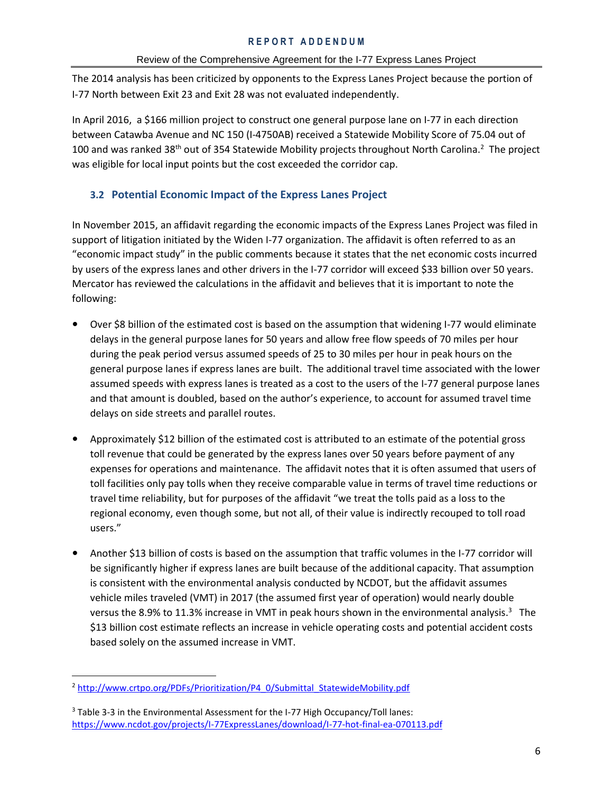## Review of the Comprehensive Agreement for the I-77 Express Lanes Project

The 2014 analysis has been criticized by opponents to the Express Lanes Project because the portion of I-77 North between Exit 23 and Exit 28 was not evaluated independently.

In April 2016, a \$166 million project to construct one general purpose lane on I-77 in each direction between Catawba Avenue and NC 150 (I-4750AB) received a Statewide Mobility Score of 75.04 out of 100 and was ranked 38<sup>th</sup> out of 354 Statewide Mobility projects throughout North Carolina.<sup>2</sup> The project was eligible for local input points but the cost exceeded the corridor cap.

# <span id="page-5-0"></span>**3.2 Potential Economic Impact of the Express Lanes Project**

In November 2015, an affidavit regarding the economic impacts of the Express Lanes Project was filed in support of litigation initiated by the Widen I-77 organization. The affidavit is often referred to as an "economic impact study" in the public comments because it states that the net economic costs incurred by users of the express lanes and other drivers in the I-77 corridor will exceed \$33 billion over 50 years. Mercator has reviewed the calculations in the affidavit and believes that it is important to note the following:

- **•** Over \$8 billion of the estimated cost is based on the assumption that widening I-77 would eliminate delays in the general purpose lanes for 50 years and allow free flow speeds of 70 miles per hour during the peak period versus assumed speeds of 25 to 30 miles per hour in peak hours on the general purpose lanes if express lanes are built. The additional travel time associated with the lower assumed speeds with express lanes is treated as a cost to the users of the I-77 general purpose lanes and that amount is doubled, based on the author's experience, to account for assumed travel time delays on side streets and parallel routes.
- **•** Approximately \$12 billion of the estimated cost is attributed to an estimate of the potential gross toll revenue that could be generated by the express lanes over 50 years before payment of any expenses for operations and maintenance. The affidavit notes that it is often assumed that users of toll facilities only pay tolls when they receive comparable value in terms of travel time reductions or travel time reliability, but for purposes of the affidavit "we treat the tolls paid as a loss to the regional economy, even though some, but not all, of their value is indirectly recouped to toll road users."
- **•** Another \$13 billion of costs is based on the assumption that traffic volumes in the I-77 corridor will be significantly higher if express lanes are built because of the additional capacity. That assumption is consistent with the environmental analysis conducted by NCDOT, but the affidavit assumes vehicle miles traveled (VMT) in 2017 (the assumed first year of operation) would nearly double versus the 8.9% to 11.3% increase in VMT in peak hours shown in the environmental analysis.<sup>3</sup> The \$13 billion cost estimate reflects an increase in vehicle operating costs and potential accident costs based solely on the assumed increase in VMT.

 $\overline{a}$ <sup>2</sup> [http://www.crtpo.org/PDFs/Prioritization/P4\\_0/Submittal\\_StatewideMobility.pdf](http://www.crtpo.org/PDFs/Prioritization/P4_0/Submittal_StatewideMobility.pdf)

<sup>&</sup>lt;sup>3</sup> Table 3-3 in the Environmental Assessment for the I-77 High Occupancy/Toll lanes: <https://www.ncdot.gov/projects/I-77ExpressLanes/download/I-77-hot-final-ea-070113.pdf>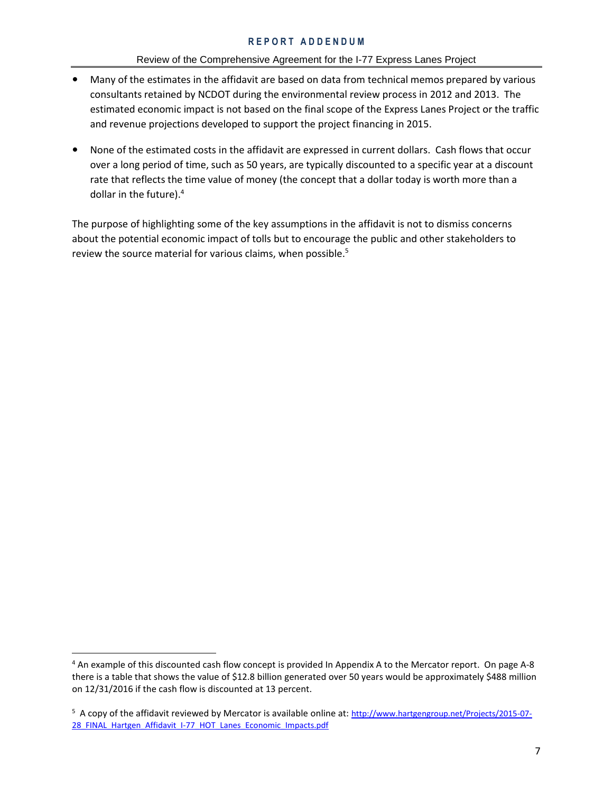## Review of the Comprehensive Agreement for the I-77 Express Lanes Project

- **•** Many of the estimates in the affidavit are based on data from technical memos prepared by various consultants retained by NCDOT during the environmental review process in 2012 and 2013. The estimated economic impact is not based on the final scope of the Express Lanes Project or the traffic and revenue projections developed to support the project financing in 2015.
- **•** None of the estimated costs in the affidavit are expressed in current dollars. Cash flows that occur over a long period of time, such as 50 years, are typically discounted to a specific year at a discount rate that reflects the time value of money (the concept that a dollar today is worth more than a dollar in the future).<sup>4</sup>

The purpose of highlighting some of the key assumptions in the affidavit is not to dismiss concerns about the potential economic impact of tolls but to encourage the public and other stakeholders to review the source material for various claims, when possible. 5

 $\overline{\phantom{a}}$ 

<sup>4</sup> An example of this discounted cash flow concept is provided In Appendix A to the Mercator report. On page A-8 there is a table that shows the value of \$12.8 billion generated over 50 years would be approximately \$488 million on 12/31/2016 if the cash flow is discounted at 13 percent.

<sup>&</sup>lt;sup>5</sup> A copy of the affidavit reviewed by Mercator is available online at: [http://www.hartgengroup.net/Projects/2015-07-](http://www.hartgengroup.net/Projects/2015-07-28_FINAL_Hartgen_Affidavit_I-77_HOT_Lanes_Economic_Impacts.pdf) 28 FINAL\_Hartgen\_Affidavit\_I-77\_HOT\_Lanes\_Economic\_Impacts.pdf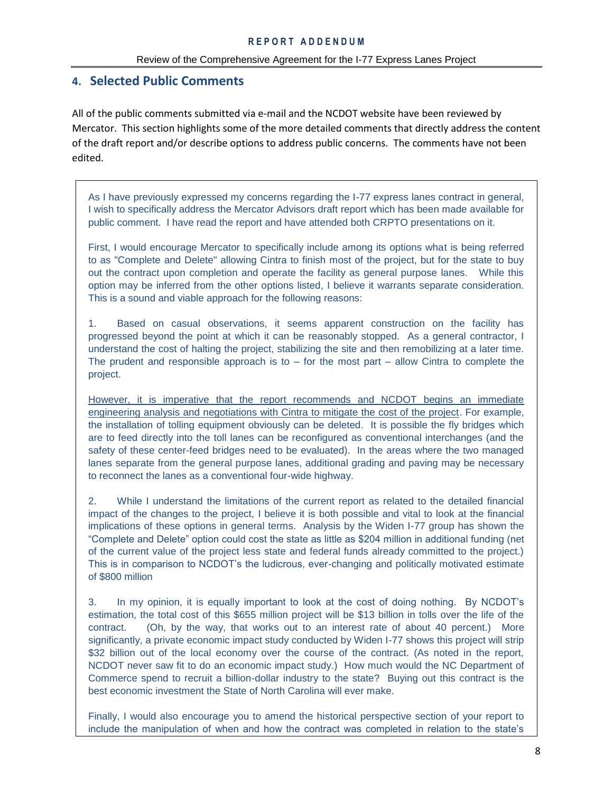# <span id="page-7-0"></span>**4. Selected Public Comments**

All of the public comments submitted via e-mail and the NCDOT website have been reviewed by Mercator. This section highlights some of the more detailed comments that directly address the content of the draft report and/or describe options to address public concerns. The comments have not been edited.

As I have previously expressed my concerns regarding the I-77 express lanes contract in general, I wish to specifically address the Mercator Advisors draft report which has been made available for public comment. I have read the report and have attended both CRPTO presentations on it.

First, I would encourage Mercator to specifically include among its options what is being referred to as "Complete and Delete" allowing Cintra to finish most of the project, but for the state to buy out the contract upon completion and operate the facility as general purpose lanes. While this option may be inferred from the other options listed, I believe it warrants separate consideration. This is a sound and viable approach for the following reasons:

1. Based on casual observations, it seems apparent construction on the facility has progressed beyond the point at which it can be reasonably stopped. As a general contractor, I understand the cost of halting the project, stabilizing the site and then remobilizing at a later time. The prudent and responsible approach is to  $-$  for the most part  $-$  allow Cintra to complete the project.

However, it is imperative that the report recommends and NCDOT begins an immediate engineering analysis and negotiations with Cintra to mitigate the cost of the project. For example, the installation of tolling equipment obviously can be deleted. It is possible the fly bridges which are to feed directly into the toll lanes can be reconfigured as conventional interchanges (and the safety of these center-feed bridges need to be evaluated). In the areas where the two managed lanes separate from the general purpose lanes, additional grading and paving may be necessary to reconnect the lanes as a conventional four-wide highway.

2. While I understand the limitations of the current report as related to the detailed financial impact of the changes to the project, I believe it is both possible and vital to look at the financial implications of these options in general terms. Analysis by the Widen I-77 group has shown the "Complete and Delete" option could cost the state as little as \$204 million in additional funding (net of the current value of the project less state and federal funds already committed to the project.) This is in comparison to NCDOT's the ludicrous, ever-changing and politically motivated estimate of \$800 million

3. In my opinion, it is equally important to look at the cost of doing nothing. By NCDOT's estimation, the total cost of this \$655 million project will be \$13 billion in tolls over the life of the contract. (Oh, by the way, that works out to an interest rate of about 40 percent.) More significantly, a private economic impact study conducted by Widen I-77 shows this project will strip \$32 billion out of the local economy over the course of the contract. (As noted in the report, NCDOT never saw fit to do an economic impact study.) How much would the NC Department of Commerce spend to recruit a billion-dollar industry to the state? Buying out this contract is the best economic investment the State of North Carolina will ever make.

Finally, I would also encourage you to amend the historical perspective section of your report to include the manipulation of when and how the contract was completed in relation to the state's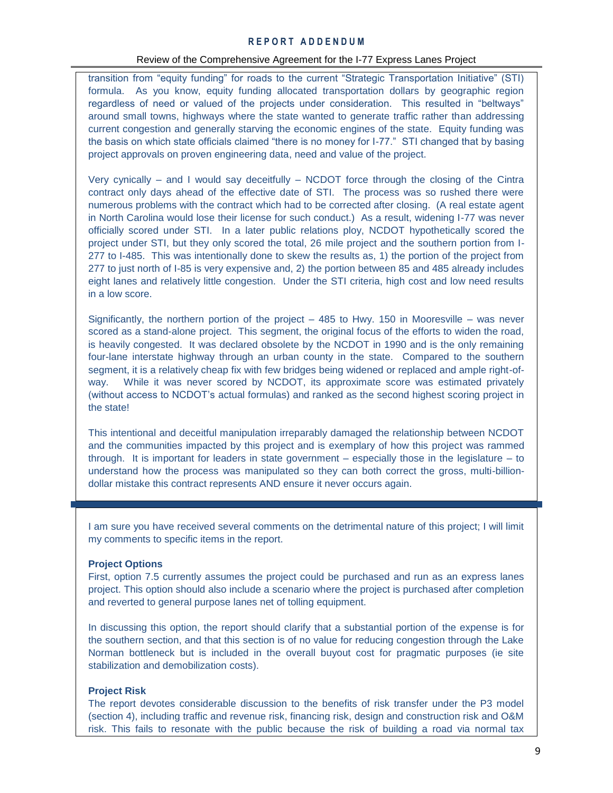#### Review of the Comprehensive Agreement for the I-77 Express Lanes Project

transition from "equity funding" for roads to the current "Strategic Transportation Initiative" (STI) formula. As you know, equity funding allocated transportation dollars by geographic region regardless of need or valued of the projects under consideration. This resulted in "beltways" around small towns, highways where the state wanted to generate traffic rather than addressing current congestion and generally starving the economic engines of the state. Equity funding was the basis on which state officials claimed "there is no money for I-77." STI changed that by basing project approvals on proven engineering data, need and value of the project.

Very cynically – and I would say deceitfully – NCDOT force through the closing of the Cintra contract only days ahead of the effective date of STI. The process was so rushed there were numerous problems with the contract which had to be corrected after closing. (A real estate agent in North Carolina would lose their license for such conduct.) As a result, widening I-77 was never officially scored under STI. In a later public relations ploy, NCDOT hypothetically scored the project under STI, but they only scored the total, 26 mile project and the southern portion from I-277 to I-485. This was intentionally done to skew the results as, 1) the portion of the project from 277 to just north of I-85 is very expensive and, 2) the portion between 85 and 485 already includes eight lanes and relatively little congestion. Under the STI criteria, high cost and low need results in a low score.

Significantly, the northern portion of the project – 485 to Hwy. 150 in Mooresville – was never scored as a stand-alone project. This segment, the original focus of the efforts to widen the road, is heavily congested. It was declared obsolete by the NCDOT in 1990 and is the only remaining four-lane interstate highway through an urban county in the state. Compared to the southern segment, it is a relatively cheap fix with few bridges being widened or replaced and ample right-ofway. While it was never scored by NCDOT, its approximate score was estimated privately (without access to NCDOT's actual formulas) and ranked as the second highest scoring project in the state!

This intentional and deceitful manipulation irreparably damaged the relationship between NCDOT and the communities impacted by this project and is exemplary of how this project was rammed through. It is important for leaders in state government – especially those in the legislature – to understand how the process was manipulated so they can both correct the gross, multi-billiondollar mistake this contract represents AND ensure it never occurs again.

I am sure you have received several comments on the detrimental nature of this project; I will limit my comments to specific items in the report.

#### **Project Options**

First, option 7.5 currently assumes the project could be purchased and run as an express lanes project. This option should also include a scenario where the project is purchased after completion and reverted to general purpose lanes net of tolling equipment.

In discussing this option, the report should clarify that a substantial portion of the expense is for the southern section, and that this section is of no value for reducing congestion through the Lake Norman bottleneck but is included in the overall buyout cost for pragmatic purposes (ie site stabilization and demobilization costs).

#### **Project Risk**

The report devotes considerable discussion to the benefits of risk transfer under the P3 model (section 4), including traffic and revenue risk, financing risk, design and construction risk and O&M risk. This fails to resonate with the public because the risk of building a road via normal tax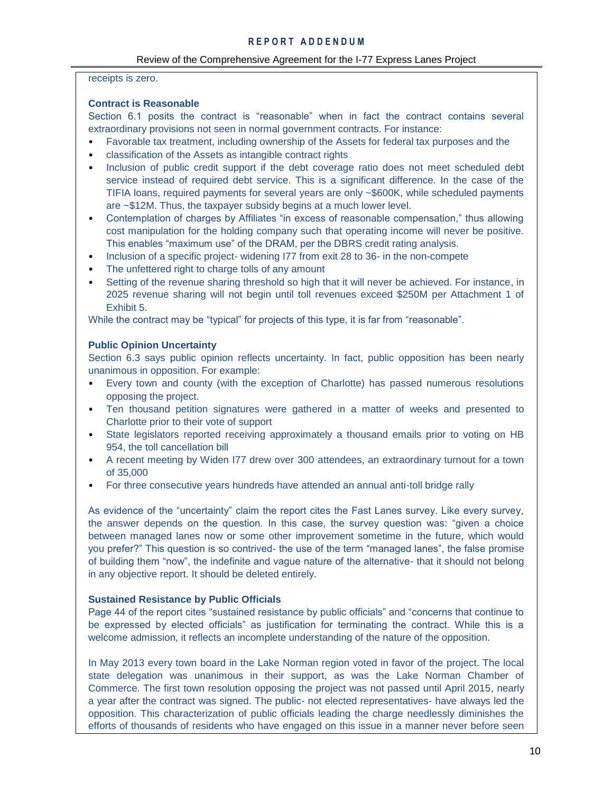# Review of the Comprehensive Agreement for the I-77 Express Lanes Project

#### receipts is zero.

# **Contract is Reasonable**

Section 6.1 posits the contract is "reasonable" when in fact the contract contains several extraordinary provisions not seen in normal government contracts. For instance:

- Favorable tax treatment, including ownership of the Assets for federal tax purposes and the
- classification of the Assets as intangible contract rights
- Inclusion of public credit support if the debt coverage ratio does not meet scheduled debt service instead of required debt service. This is a significant difference. In the case of the TIFIA loans, required payments for several years are only ~\$600K, while scheduled payments are ~\$12M. Thus, the taxpayer subsidy begins at a much lower level.
- Contemplation of charges by Affiliates "in excess of reasonable compensation," thus allowing cost manipulation for the holding company such that operating income will never be positive. This enables "maximum use" of the DRAM, per the DBRS credit rating analysis.
- Inclusion of a specific project- widening I77 from exit 28 to 36- in the non-compete
- The unfettered right to charge tolls of any amount
- Setting of the revenue sharing threshold so high that it will never be achieved. For instance, in 2025 revenue sharing will not begin until toll revenues exceed \$250M per Attachment 1 of Exhibit 5.

While the contract may be "typical" for projects of this type, it is far from "reasonable".

## **Public Opinion Uncertainty**

Section 6.3 says public opinion reflects uncertainty. In fact, public opposition has been nearly unanimous in opposition. For example:

- Every town and county (with the exception of Charlotte) has passed numerous resolutions opposing the project.
- Ten thousand petition signatures were gathered in a matter of weeks and presented to Charlotte prior to their vote of support
- State legislators reported receiving approximately a thousand emails prior to voting on HB 954, the toll cancellation bill
- A recent meeting by Widen I77 drew over 300 attendees, an extraordinary turnout for a town of 35,000
- For three consecutive years hundreds have attended an annual anti-toll bridge rally

As evidence of the "uncertainty" claim the report cites the Fast Lanes survey. Like every survey, the answer depends on the question. In this case, the survey question was: "given a choice between managed lanes now or some other improvement sometime in the future, which would you prefer?" This question is so contrived- the use of the term "managed lanes", the false promise of building them "now", the indefinite and vague nature of the alternative- that it should not belong in any objective report. It should be deleted entirely.

#### **Sustained Resistance by Public Officials**

Page 44 of the report cites "sustained resistance by public officials" and "concerns that continue to be expressed by elected officials" as justification for terminating the contract. While this is a welcome admission, it reflects an incomplete understanding of the nature of the opposition.

In May 2013 every town board in the Lake Norman region voted in favor of the project. The local state delegation was unanimous in their support, as was the Lake Norman Chamber of Commerce. The first town resolution opposing the project was not passed until April 2015, nearly a year after the contract was signed. The public- not elected representatives- have always led the opposition. This characterization of public officials leading the charge needlessly diminishes the efforts of thousands of residents who have engaged on this issue in a manner never before seen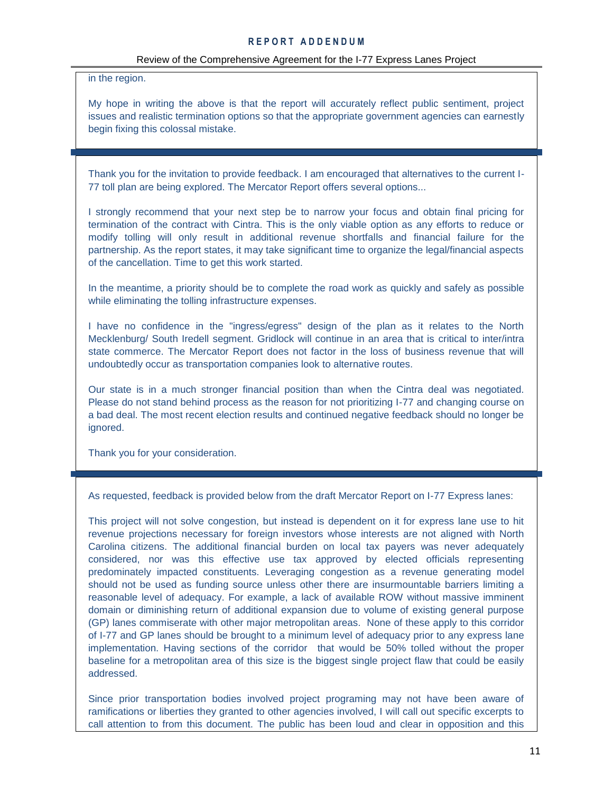#### Review of the Comprehensive Agreement for the I-77 Express Lanes Project

in the region.

My hope in writing the above is that the report will accurately reflect public sentiment, project issues and realistic termination options so that the appropriate government agencies can earnestly begin fixing this colossal mistake.

Thank you for the invitation to provide feedback. I am encouraged that alternatives to the current I-77 toll plan are being explored. The Mercator Report offers several options...

I strongly recommend that your next step be to narrow your focus and obtain final pricing for termination of the contract with Cintra. This is the only viable option as any efforts to reduce or modify tolling will only result in additional revenue shortfalls and financial failure for the partnership. As the report states, it may take significant time to organize the legal/financial aspects of the cancellation. Time to get this work started.

In the meantime, a priority should be to complete the road work as quickly and safely as possible while eliminating the tolling infrastructure expenses.

I have no confidence in the "ingress/egress" design of the plan as it relates to the North Mecklenburg/ South Iredell segment. Gridlock will continue in an area that is critical to inter/intra state commerce. The Mercator Report does not factor in the loss of business revenue that will undoubtedly occur as transportation companies look to alternative routes.

Our state is in a much stronger financial position than when the Cintra deal was negotiated. Please do not stand behind process as the reason for not prioritizing I-77 and changing course on a bad deal. The most recent election results and continued negative feedback should no longer be ignored.

Thank you for your consideration.

As requested, feedback is provided below from the draft Mercator Report on I-77 Express lanes:

This project will not solve congestion, but instead is dependent on it for express lane use to hit revenue projections necessary for foreign investors whose interests are not aligned with North Carolina citizens. The additional financial burden on local tax payers was never adequately considered, nor was this effective use tax approved by elected officials representing predominately impacted constituents. Leveraging congestion as a revenue generating model should not be used as funding source unless other there are insurmountable barriers limiting a reasonable level of adequacy. For example, a lack of available ROW without massive imminent domain or diminishing return of additional expansion due to volume of existing general purpose (GP) lanes commiserate with other major metropolitan areas. None of these apply to this corridor of I-77 and GP lanes should be brought to a minimum level of adequacy prior to any express lane implementation. Having sections of the corridor that would be 50% tolled without the proper baseline for a metropolitan area of this size is the biggest single project flaw that could be easily addressed.

Since prior transportation bodies involved project programing may not have been aware of ramifications or liberties they granted to other agencies involved, I will call out specific excerpts to call attention to from this document. The public has been loud and clear in opposition and this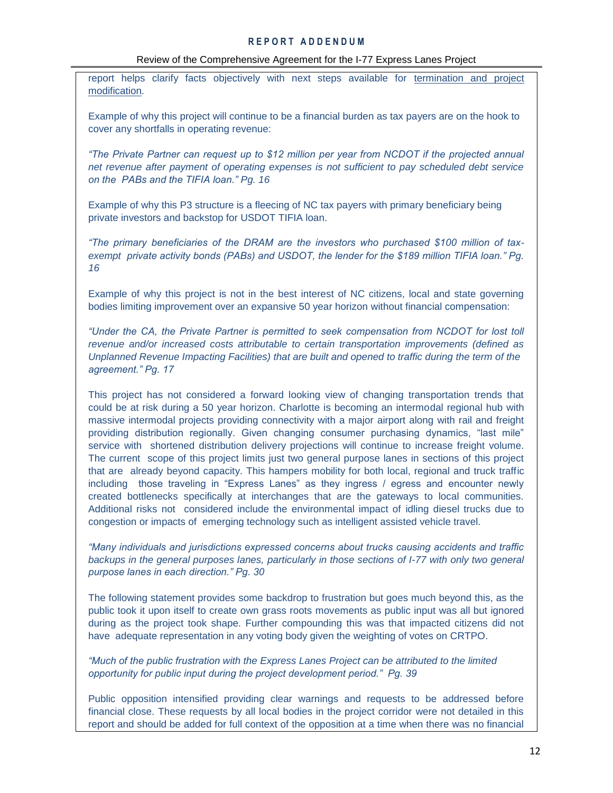#### Review of the Comprehensive Agreement for the I-77 Express Lanes Project

report helps clarify facts objectively with next steps available for termination and project modification.

Example of why this project will continue to be a financial burden as tax payers are on the hook to cover any shortfalls in operating revenue:

*"The Private Partner can request up to \$12 million per year from NCDOT if the projected annual net revenue after payment of operating expenses is not sufficient to pay scheduled debt service on the PABs and the TIFIA loan." Pg. 16*

Example of why this P3 structure is a fleecing of NC tax payers with primary beneficiary being private investors and backstop for USDOT TIFIA loan.

*"The primary beneficiaries of the DRAM are the investors who purchased \$100 million of taxexempt private activity bonds (PABs) and USDOT, the lender for the \$189 million TIFIA loan." Pg. 16*

Example of why this project is not in the best interest of NC citizens, local and state governing bodies limiting improvement over an expansive 50 year horizon without financial compensation:

*"Under the CA, the Private Partner is permitted to seek compensation from NCDOT for lost toll revenue and/or increased costs attributable to certain transportation improvements (defined as Unplanned Revenue Impacting Facilities) that are built and opened to traffic during the term of the agreement." Pg. 17*

This project has not considered a forward looking view of changing transportation trends that could be at risk during a 50 year horizon. Charlotte is becoming an intermodal regional hub with massive intermodal projects providing connectivity with a major airport along with rail and freight providing distribution regionally. Given changing consumer purchasing dynamics, "last mile" service with shortened distribution delivery projections will continue to increase freight volume. The current scope of this project limits just two general purpose lanes in sections of this project that are already beyond capacity. This hampers mobility for both local, regional and truck traffic including those traveling in "Express Lanes" as they ingress / egress and encounter newly created bottlenecks specifically at interchanges that are the gateways to local communities. Additional risks not considered include the environmental impact of idling diesel trucks due to congestion or impacts of emerging technology such as intelligent assisted vehicle travel.

*"Many individuals and jurisdictions expressed concerns about trucks causing accidents and traffic backups in the general purposes lanes, particularly in those sections of I-77 with only two general purpose lanes in each direction." Pg. 30*

The following statement provides some backdrop to frustration but goes much beyond this, as the public took it upon itself to create own grass roots movements as public input was all but ignored during as the project took shape. Further compounding this was that impacted citizens did not have adequate representation in any voting body given the weighting of votes on CRTPO.

*"Much of the public frustration with the Express Lanes Project can be attributed to the limited opportunity for public input during the project development period." Pg. 39*

Public opposition intensified providing clear warnings and requests to be addressed before financial close. These requests by all local bodies in the project corridor were not detailed in this report and should be added for full context of the opposition at a time when there was no financial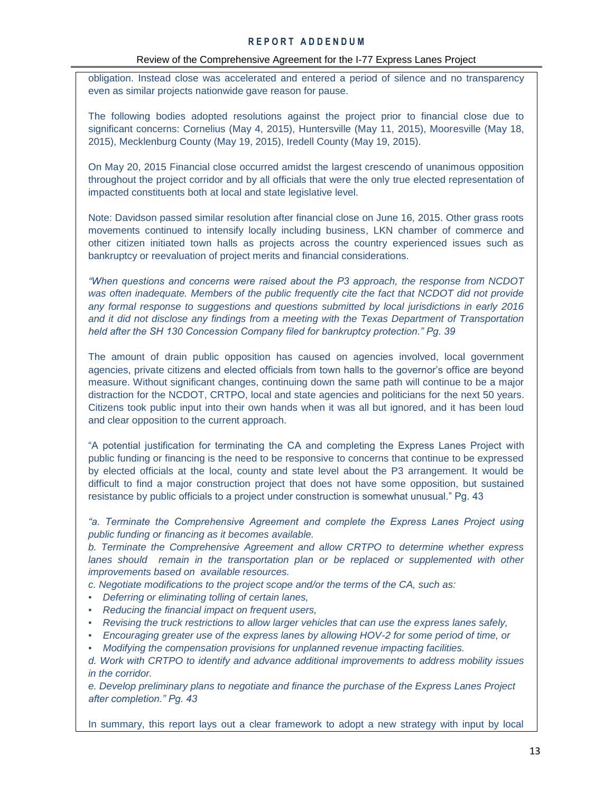#### Review of the Comprehensive Agreement for the I-77 Express Lanes Project

obligation. Instead close was accelerated and entered a period of silence and no transparency even as similar projects nationwide gave reason for pause.

The following bodies adopted resolutions against the project prior to financial close due to significant concerns: Cornelius (May 4, 2015), Huntersville (May 11, 2015), Mooresville (May 18, 2015), Mecklenburg County (May 19, 2015), Iredell County (May 19, 2015).

On May 20, 2015 Financial close occurred amidst the largest crescendo of unanimous opposition throughout the project corridor and by all officials that were the only true elected representation of impacted constituents both at local and state legislative level.

Note: Davidson passed similar resolution after financial close on June 16, 2015. Other grass roots movements continued to intensify locally including business, LKN chamber of commerce and other citizen initiated town halls as projects across the country experienced issues such as bankruptcy or reevaluation of project merits and financial considerations.

*"When questions and concerns were raised about the P3 approach, the response from NCDOT was often inadequate. Members of the public frequently cite the fact that NCDOT did not provide any formal response to suggestions and questions submitted by local jurisdictions in early 2016 and it did not disclose any findings from a meeting with the Texas Department of Transportation held after the SH 130 Concession Company filed for bankruptcy protection." Pg. 39*

The amount of drain public opposition has caused on agencies involved, local government agencies, private citizens and elected officials from town halls to the governor's office are beyond measure. Without significant changes, continuing down the same path will continue to be a major distraction for the NCDOT, CRTPO, local and state agencies and politicians for the next 50 years. Citizens took public input into their own hands when it was all but ignored, and it has been loud and clear opposition to the current approach.

"A potential justification for terminating the CA and completing the Express Lanes Project with public funding or financing is the need to be responsive to concerns that continue to be expressed by elected officials at the local, county and state level about the P3 arrangement. It would be difficult to find a major construction project that does not have some opposition, but sustained resistance by public officials to a project under construction is somewhat unusual." Pg. 43

*"a. Terminate the Comprehensive Agreement and complete the Express Lanes Project using public funding or financing as it becomes available.*

*b. Terminate the Comprehensive Agreement and allow CRTPO to determine whether express*  lanes should remain in the transportation plan or be replaced or supplemented with other *improvements based on available resources.*

*c. Negotiate modifications to the project scope and/or the terms of the CA, such as:*

- *Deferring or eliminating tolling of certain lanes,*
- *Reducing the financial impact on frequent users,*
- *Revising the truck restrictions to allow larger vehicles that can use the express lanes safely,*
- *Encouraging greater use of the express lanes by allowing HOV-2 for some period of time, or*
- *Modifying the compensation provisions for unplanned revenue impacting facilities.*

*d. Work with CRTPO to identify and advance additional improvements to address mobility issues in the corridor.*

*e. Develop preliminary plans to negotiate and finance the purchase of the Express Lanes Project after completion." Pg. 43*

In summary, this report lays out a clear framework to adopt a new strategy with input by local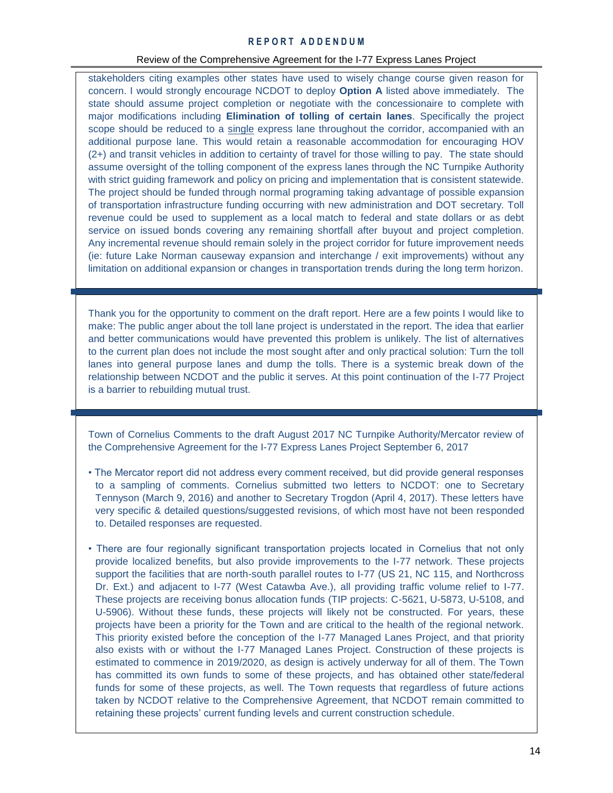#### Review of the Comprehensive Agreement for the I-77 Express Lanes Project

stakeholders citing examples other states have used to wisely change course given reason for concern. I would strongly encourage NCDOT to deploy **Option A** listed above immediately. The state should assume project completion or negotiate with the concessionaire to complete with major modifications including **Elimination of tolling of certain lanes**. Specifically the project scope should be reduced to a single express lane throughout the corridor, accompanied with an additional purpose lane. This would retain a reasonable accommodation for encouraging HOV (2+) and transit vehicles in addition to certainty of travel for those willing to pay. The state should assume oversight of the tolling component of the express lanes through the NC Turnpike Authority with strict guiding framework and policy on pricing and implementation that is consistent statewide. The project should be funded through normal programing taking advantage of possible expansion of transportation infrastructure funding occurring with new administration and DOT secretary. Toll revenue could be used to supplement as a local match to federal and state dollars or as debt service on issued bonds covering any remaining shortfall after buyout and project completion. Any incremental revenue should remain solely in the project corridor for future improvement needs (ie: future Lake Norman causeway expansion and interchange / exit improvements) without any limitation on additional expansion or changes in transportation trends during the long term horizon.

Thank you for the opportunity to comment on the draft report. Here are a few points I would like to make: The public anger about the toll lane project is understated in the report. The idea that earlier and better communications would have prevented this problem is unlikely. The list of alternatives to the current plan does not include the most sought after and only practical solution: Turn the toll lanes into general purpose lanes and dump the tolls. There is a systemic break down of the relationship between NCDOT and the public it serves. At this point continuation of the I-77 Project is a barrier to rebuilding mutual trust.

Town of Cornelius Comments to the draft August 2017 NC Turnpike Authority/Mercator review of the Comprehensive Agreement for the I-77 Express Lanes Project September 6, 2017

- The Mercator report did not address every comment received, but did provide general responses to a sampling of comments. Cornelius submitted two letters to NCDOT: one to Secretary Tennyson (March 9, 2016) and another to Secretary Trogdon (April 4, 2017). These letters have very specific & detailed questions/suggested revisions, of which most have not been responded to. Detailed responses are requested.
- There are four regionally significant transportation projects located in Cornelius that not only provide localized benefits, but also provide improvements to the I-77 network. These projects support the facilities that are north-south parallel routes to I-77 (US 21, NC 115, and Northcross Dr. Ext.) and adjacent to I-77 (West Catawba Ave.), all providing traffic volume relief to I-77. These projects are receiving bonus allocation funds (TIP projects: C-5621, U-5873, U-5108, and U-5906). Without these funds, these projects will likely not be constructed. For years, these projects have been a priority for the Town and are critical to the health of the regional network. This priority existed before the conception of the I-77 Managed Lanes Project, and that priority also exists with or without the I-77 Managed Lanes Project. Construction of these projects is estimated to commence in 2019/2020, as design is actively underway for all of them. The Town has committed its own funds to some of these projects, and has obtained other state/federal funds for some of these projects, as well. The Town requests that regardless of future actions taken by NCDOT relative to the Comprehensive Agreement, that NCDOT remain committed to retaining these projects' current funding levels and current construction schedule.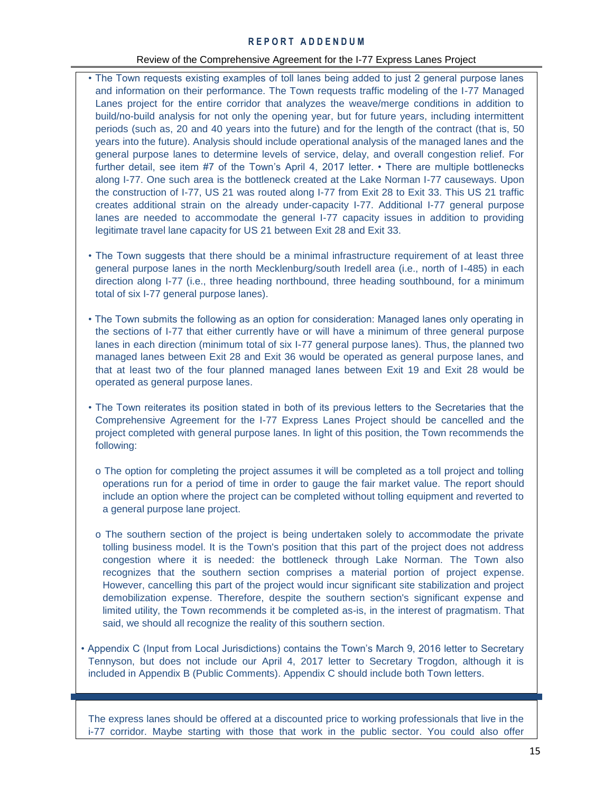#### Review of the Comprehensive Agreement for the I-77 Express Lanes Project

- The Town requests existing examples of toll lanes being added to just 2 general purpose lanes and information on their performance. The Town requests traffic modeling of the I-77 Managed Lanes project for the entire corridor that analyzes the weave/merge conditions in addition to build/no-build analysis for not only the opening year, but for future years, including intermittent periods (such as, 20 and 40 years into the future) and for the length of the contract (that is, 50 years into the future). Analysis should include operational analysis of the managed lanes and the general purpose lanes to determine levels of service, delay, and overall congestion relief. For further detail, see item #7 of the Town's April 4, 2017 letter. • There are multiple bottlenecks along I-77. One such area is the bottleneck created at the Lake Norman I-77 causeways. Upon the construction of I-77, US 21 was routed along I-77 from Exit 28 to Exit 33. This US 21 traffic creates additional strain on the already under-capacity I-77. Additional I-77 general purpose lanes are needed to accommodate the general I-77 capacity issues in addition to providing legitimate travel lane capacity for US 21 between Exit 28 and Exit 33.
- The Town suggests that there should be a minimal infrastructure requirement of at least three general purpose lanes in the north Mecklenburg/south Iredell area (i.e., north of I-485) in each direction along I-77 (i.e., three heading northbound, three heading southbound, for a minimum total of six I-77 general purpose lanes).
- The Town submits the following as an option for consideration: Managed lanes only operating in the sections of I-77 that either currently have or will have a minimum of three general purpose lanes in each direction (minimum total of six I-77 general purpose lanes). Thus, the planned two managed lanes between Exit 28 and Exit 36 would be operated as general purpose lanes, and that at least two of the four planned managed lanes between Exit 19 and Exit 28 would be operated as general purpose lanes.
- The Town reiterates its position stated in both of its previous letters to the Secretaries that the Comprehensive Agreement for the I-77 Express Lanes Project should be cancelled and the project completed with general purpose lanes. In light of this position, the Town recommends the following:
	- o The option for completing the project assumes it will be completed as a toll project and tolling operations run for a period of time in order to gauge the fair market value. The report should include an option where the project can be completed without tolling equipment and reverted to a general purpose lane project.
	- o The southern section of the project is being undertaken solely to accommodate the private tolling business model. It is the Town's position that this part of the project does not address congestion where it is needed: the bottleneck through Lake Norman. The Town also recognizes that the southern section comprises a material portion of project expense. However, cancelling this part of the project would incur significant site stabilization and project demobilization expense. Therefore, despite the southern section's significant expense and limited utility, the Town recommends it be completed as-is, in the interest of pragmatism. That said, we should all recognize the reality of this southern section.
- Appendix C (Input from Local Jurisdictions) contains the Town's March 9, 2016 letter to Secretary Tennyson, but does not include our April 4, 2017 letter to Secretary Trogdon, although it is included in Appendix B (Public Comments). Appendix C should include both Town letters.

The express lanes should be offered at a discounted price to working professionals that live in the i-77 corridor. Maybe starting with those that work in the public sector. You could also offer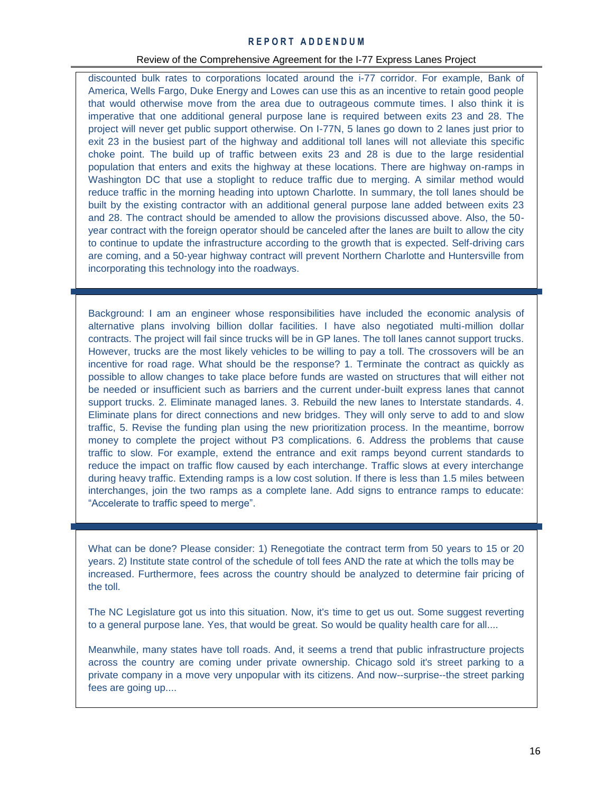#### Review of the Comprehensive Agreement for the I-77 Express Lanes Project

discounted bulk rates to corporations located around the i-77 corridor. For example, Bank of America, Wells Fargo, Duke Energy and Lowes can use this as an incentive to retain good people that would otherwise move from the area due to outrageous commute times. I also think it is imperative that one additional general purpose lane is required between exits 23 and 28. The project will never get public support otherwise. On I-77N, 5 lanes go down to 2 lanes just prior to exit 23 in the busiest part of the highway and additional toll lanes will not alleviate this specific choke point. The build up of traffic between exits 23 and 28 is due to the large residential population that enters and exits the highway at these locations. There are highway on-ramps in Washington DC that use a stoplight to reduce traffic due to merging. A similar method would reduce traffic in the morning heading into uptown Charlotte. In summary, the toll lanes should be built by the existing contractor with an additional general purpose lane added between exits 23 and 28. The contract should be amended to allow the provisions discussed above. Also, the 50 year contract with the foreign operator should be canceled after the lanes are built to allow the city to continue to update the infrastructure according to the growth that is expected. Self-driving cars are coming, and a 50-year highway contract will prevent Northern Charlotte and Huntersville from incorporating this technology into the roadways.

Background: I am an engineer whose responsibilities have included the economic analysis of alternative plans involving billion dollar facilities. I have also negotiated multi-million dollar contracts. The project will fail since trucks will be in GP lanes. The toll lanes cannot support trucks. However, trucks are the most likely vehicles to be willing to pay a toll. The crossovers will be an incentive for road rage. What should be the response? 1. Terminate the contract as quickly as possible to allow changes to take place before funds are wasted on structures that will either not be needed or insufficient such as barriers and the current under-built express lanes that cannot support trucks. 2. Eliminate managed lanes. 3. Rebuild the new lanes to Interstate standards. 4. Eliminate plans for direct connections and new bridges. They will only serve to add to and slow traffic, 5. Revise the funding plan using the new prioritization process. In the meantime, borrow money to complete the project without P3 complications. 6. Address the problems that cause traffic to slow. For example, extend the entrance and exit ramps beyond current standards to reduce the impact on traffic flow caused by each interchange. Traffic slows at every interchange during heavy traffic. Extending ramps is a low cost solution. If there is less than 1.5 miles between interchanges, join the two ramps as a complete lane. Add signs to entrance ramps to educate: "Accelerate to traffic speed to merge".

What can be done? Please consider: 1) Renegotiate the contract term from 50 years to 15 or 20 years. 2) Institute state control of the schedule of toll fees AND the rate at which the tolls may be increased. Furthermore, fees across the country should be analyzed to determine fair pricing of the toll.

The NC Legislature got us into this situation. Now, it's time to get us out. Some suggest reverting to a general purpose lane. Yes, that would be great. So would be quality health care for all....

Meanwhile, many states have toll roads. And, it seems a trend that public infrastructure projects across the country are coming under private ownership. Chicago sold it's street parking to a private company in a move very unpopular with its citizens. And now--surprise--the street parking fees are going up....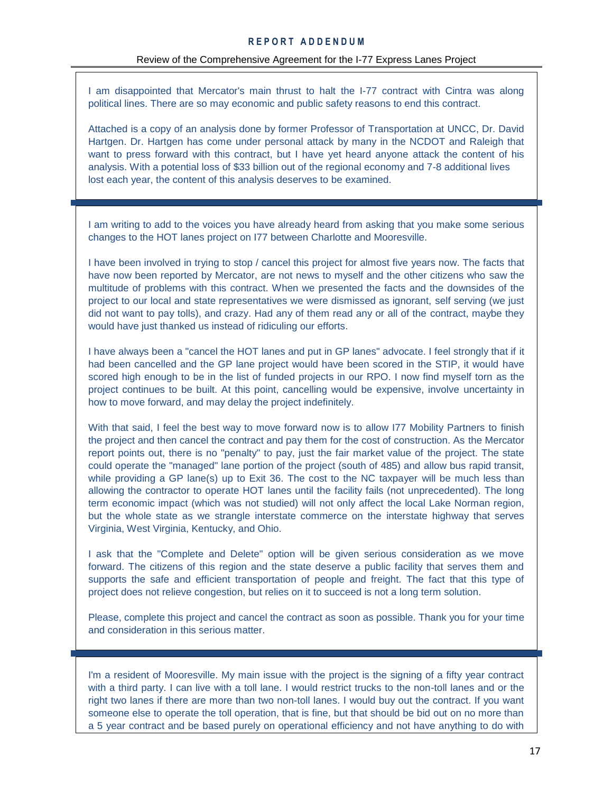I am disappointed that Mercator's main thrust to halt the I-77 contract with Cintra was along political lines. There are so may economic and public safety reasons to end this contract.

Attached is a copy of an analysis done by former Professor of Transportation at UNCC, Dr. David Hartgen. Dr. Hartgen has come under personal attack by many in the NCDOT and Raleigh that want to press forward with this contract, but I have yet heard anyone attack the content of his analysis. With a potential loss of \$33 billion out of the regional economy and 7-8 additional lives lost each year, the content of this analysis deserves to be examined.

I am writing to add to the voices you have already heard from asking that you make some serious changes to the HOT lanes project on I77 between Charlotte and Mooresville.

I have been involved in trying to stop / cancel this project for almost five years now. The facts that have now been reported by Mercator, are not news to myself and the other citizens who saw the multitude of problems with this contract. When we presented the facts and the downsides of the project to our local and state representatives we were dismissed as ignorant, self serving (we just did not want to pay tolls), and crazy. Had any of them read any or all of the contract, maybe they would have just thanked us instead of ridiculing our efforts.

I have always been a "cancel the HOT lanes and put in GP lanes" advocate. I feel strongly that if it had been cancelled and the GP lane project would have been scored in the STIP, it would have scored high enough to be in the list of funded projects in our RPO. I now find myself torn as the project continues to be built. At this point, cancelling would be expensive, involve uncertainty in how to move forward, and may delay the project indefinitely.

With that said, I feel the best way to move forward now is to allow I77 Mobility Partners to finish the project and then cancel the contract and pay them for the cost of construction. As the Mercator report points out, there is no "penalty" to pay, just the fair market value of the project. The state could operate the "managed" lane portion of the project (south of 485) and allow bus rapid transit, while providing a GP lane(s) up to Exit 36. The cost to the NC taxpayer will be much less than allowing the contractor to operate HOT lanes until the facility fails (not unprecedented). The long term economic impact (which was not studied) will not only affect the local Lake Norman region, but the whole state as we strangle interstate commerce on the interstate highway that serves Virginia, West Virginia, Kentucky, and Ohio.

I ask that the "Complete and Delete" option will be given serious consideration as we move forward. The citizens of this region and the state deserve a public facility that serves them and supports the safe and efficient transportation of people and freight. The fact that this type of project does not relieve congestion, but relies on it to succeed is not a long term solution.

Please, complete this project and cancel the contract as soon as possible. Thank you for your time and consideration in this serious matter.

I'm a resident of Mooresville. My main issue with the project is the signing of a fifty year contract with a third party. I can live with a toll lane. I would restrict trucks to the non-toll lanes and or the right two lanes if there are more than two non-toll lanes. I would buy out the contract. If you want someone else to operate the toll operation, that is fine, but that should be bid out on no more than a 5 year contract and be based purely on operational efficiency and not have anything to do with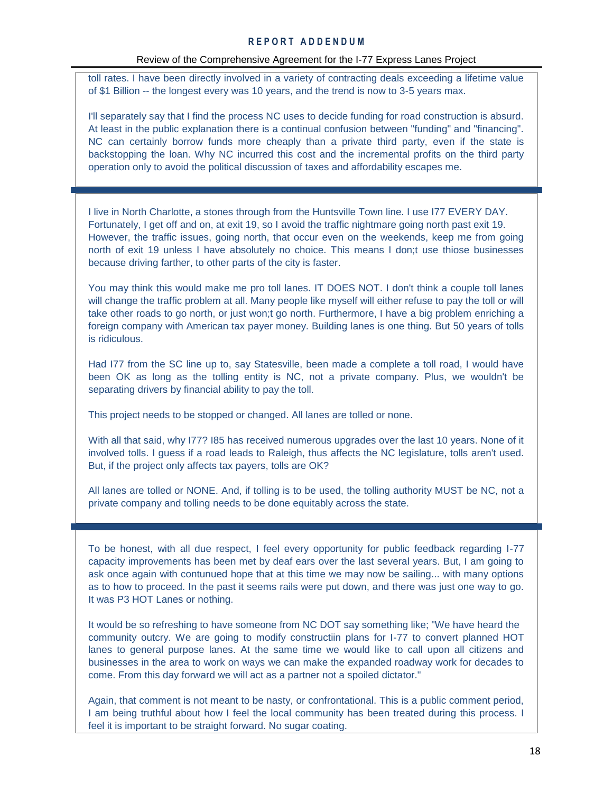toll rates. I have been directly involved in a variety of contracting deals exceeding a lifetime value of \$1 Billion -- the longest every was 10 years, and the trend is now to 3-5 years max.

I'll separately say that I find the process NC uses to decide funding for road construction is absurd. At least in the public explanation there is a continual confusion between "funding" and "financing". NC can certainly borrow funds more cheaply than a private third party, even if the state is backstopping the loan. Why NC incurred this cost and the incremental profits on the third party operation only to avoid the political discussion of taxes and affordability escapes me.

I live in North Charlotte, a stones through from the Huntsville Town line. I use I77 EVERY DAY. Fortunately, I get off and on, at exit 19, so I avoid the traffic nightmare going north past exit 19. However, the traffic issues, going north, that occur even on the weekends, keep me from going north of exit 19 unless I have absolutely no choice. This means I don;t use thiose businesses because driving farther, to other parts of the city is faster.

You may think this would make me pro toll lanes. IT DOES NOT. I don't think a couple toll lanes will change the traffic problem at all. Many people like myself will either refuse to pay the toll or will take other roads to go north, or just won;t go north. Furthermore, I have a big problem enriching a foreign company with American tax payer money. Building lanes is one thing. But 50 years of tolls is ridiculous.

Had I77 from the SC line up to, say Statesville, been made a complete a toll road, I would have been OK as long as the tolling entity is NC, not a private company. Plus, we wouldn't be separating drivers by financial ability to pay the toll.

This project needs to be stopped or changed. All lanes are tolled or none.

With all that said, why I77? I85 has received numerous upgrades over the last 10 years. None of it involved tolls. I guess if a road leads to Raleigh, thus affects the NC legislature, tolls aren't used. But, if the project only affects tax payers, tolls are OK?

All lanes are tolled or NONE. And, if tolling is to be used, the tolling authority MUST be NC, not a private company and tolling needs to be done equitably across the state.

To be honest, with all due respect, I feel every opportunity for public feedback regarding I-77 capacity improvements has been met by deaf ears over the last several years. But, I am going to ask once again with contunued hope that at this time we may now be sailing... with many options as to how to proceed. In the past it seems rails were put down, and there was just one way to go. It was P3 HOT Lanes or nothing.

It would be so refreshing to have someone from NC DOT say something like; "We have heard the community outcry. We are going to modify constructiin plans for I-77 to convert planned HOT lanes to general purpose lanes. At the same time we would like to call upon all citizens and businesses in the area to work on ways we can make the expanded roadway work for decades to come. From this day forward we will act as a partner not a spoiled dictator."

Again, that comment is not meant to be nasty, or confrontational. This is a public comment period, I am being truthful about how I feel the local community has been treated during this process. I feel it is important to be straight forward. No sugar coating.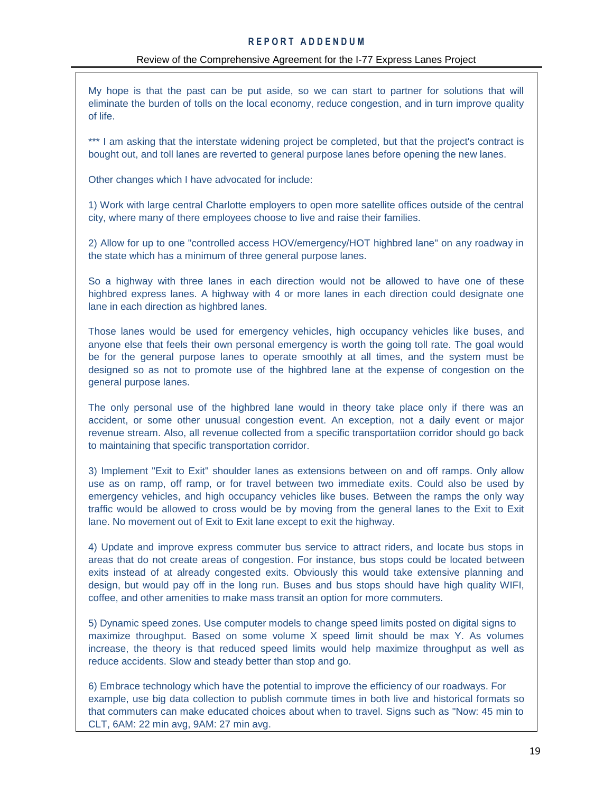My hope is that the past can be put aside, so we can start to partner for solutions that will eliminate the burden of tolls on the local economy, reduce congestion, and in turn improve quality of life.

\*\*\* I am asking that the interstate widening project be completed, but that the project's contract is bought out, and toll lanes are reverted to general purpose lanes before opening the new lanes.

Other changes which I have advocated for include:

1) Work with large central Charlotte employers to open more satellite offices outside of the central city, where many of there employees choose to live and raise their families.

2) Allow for up to one "controlled access HOV/emergency/HOT highbred lane" on any roadway in the state which has a minimum of three general purpose lanes.

So a highway with three lanes in each direction would not be allowed to have one of these highbred express lanes. A highway with 4 or more lanes in each direction could designate one lane in each direction as highbred lanes.

Those lanes would be used for emergency vehicles, high occupancy vehicles like buses, and anyone else that feels their own personal emergency is worth the going toll rate. The goal would be for the general purpose lanes to operate smoothly at all times, and the system must be designed so as not to promote use of the highbred lane at the expense of congestion on the general purpose lanes.

The only personal use of the highbred lane would in theory take place only if there was an accident, or some other unusual congestion event. An exception, not a daily event or major revenue stream. Also, all revenue collected from a specific transportatiion corridor should go back to maintaining that specific transportation corridor.

3) Implement "Exit to Exit" shoulder lanes as extensions between on and off ramps. Only allow use as on ramp, off ramp, or for travel between two immediate exits. Could also be used by emergency vehicles, and high occupancy vehicles like buses. Between the ramps the only way traffic would be allowed to cross would be by moving from the general lanes to the Exit to Exit lane. No movement out of Exit to Exit lane except to exit the highway.

4) Update and improve express commuter bus service to attract riders, and locate bus stops in areas that do not create areas of congestion. For instance, bus stops could be located between exits instead of at already congested exits. Obviously this would take extensive planning and design, but would pay off in the long run. Buses and bus stops should have high quality WIFI, coffee, and other amenities to make mass transit an option for more commuters.

5) Dynamic speed zones. Use computer models to change speed limits posted on digital signs to maximize throughput. Based on some volume X speed limit should be max Y. As volumes increase, the theory is that reduced speed limits would help maximize throughput as well as reduce accidents. Slow and steady better than stop and go.

6) Embrace technology which have the potential to improve the efficiency of our roadways. For example, use big data collection to publish commute times in both live and historical formats so that commuters can make educated choices about when to travel. Signs such as "Now: 45 min to CLT, 6AM: 22 min avg, 9AM: 27 min avg.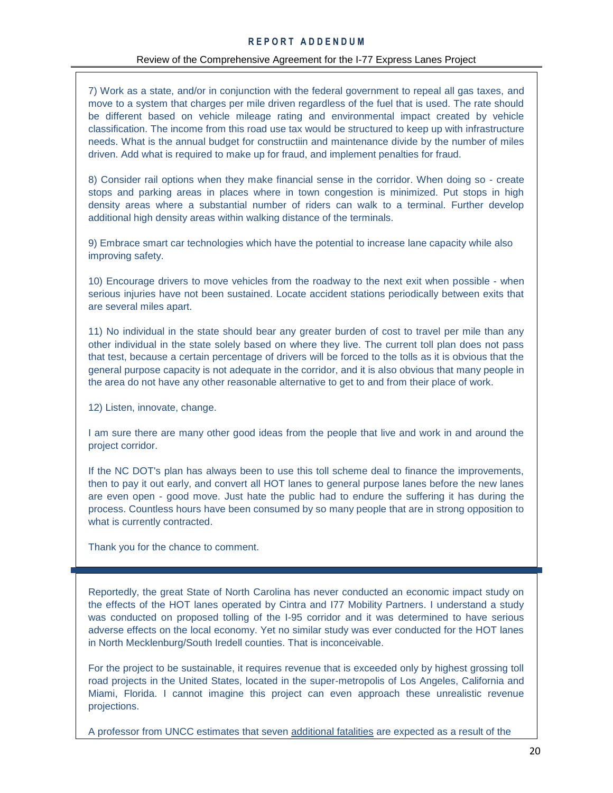7) Work as a state, and/or in conjunction with the federal government to repeal all gas taxes, and move to a system that charges per mile driven regardless of the fuel that is used. The rate should be different based on vehicle mileage rating and environmental impact created by vehicle classification. The income from this road use tax would be structured to keep up with infrastructure needs. What is the annual budget for constructiin and maintenance divide by the number of miles driven. Add what is required to make up for fraud, and implement penalties for fraud.

8) Consider rail options when they make financial sense in the corridor. When doing so - create stops and parking areas in places where in town congestion is minimized. Put stops in high density areas where a substantial number of riders can walk to a terminal. Further develop additional high density areas within walking distance of the terminals.

9) Embrace smart car technologies which have the potential to increase lane capacity while also improving safety.

10) Encourage drivers to move vehicles from the roadway to the next exit when possible - when serious injuries have not been sustained. Locate accident stations periodically between exits that are several miles apart.

11) No individual in the state should bear any greater burden of cost to travel per mile than any other individual in the state solely based on where they live. The current toll plan does not pass that test, because a certain percentage of drivers will be forced to the tolls as it is obvious that the general purpose capacity is not adequate in the corridor, and it is also obvious that many people in the area do not have any other reasonable alternative to get to and from their place of work.

12) Listen, innovate, change.

I am sure there are many other good ideas from the people that live and work in and around the project corridor.

If the NC DOT's plan has always been to use this toll scheme deal to finance the improvements, then to pay it out early, and convert all HOT lanes to general purpose lanes before the new lanes are even open - good move. Just hate the public had to endure the suffering it has during the process. Countless hours have been consumed by so many people that are in strong opposition to what is currently contracted.

Thank you for the chance to comment.

Reportedly, the great State of North Carolina has never conducted an economic impact study on the effects of the HOT lanes operated by Cintra and I77 Mobility Partners. I understand a study was conducted on proposed tolling of the I-95 corridor and it was determined to have serious adverse effects on the local economy. Yet no similar study was ever conducted for the HOT lanes in North Mecklenburg/South Iredell counties. That is inconceivable.

For the project to be sustainable, it requires revenue that is exceeded only by highest grossing toll road projects in the United States, located in the super-metropolis of Los Angeles, California and Miami, Florida. I cannot imagine this project can even approach these unrealistic revenue projections.

A professor from UNCC estimates that seven additional fatalities are expected as a result of the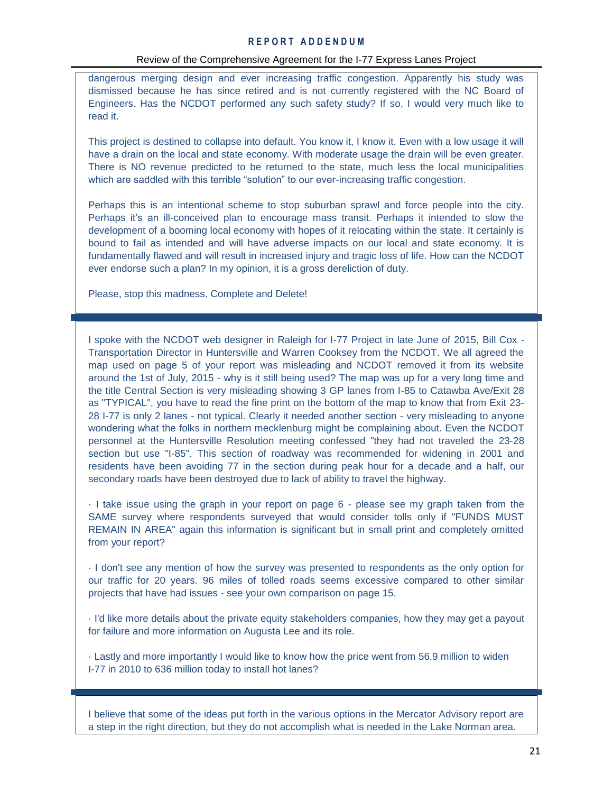#### Review of the Comprehensive Agreement for the I-77 Express Lanes Project

dangerous merging design and ever increasing traffic congestion. Apparently his study was dismissed because he has since retired and is not currently registered with the NC Board of Engineers. Has the NCDOT performed any such safety study? If so, I would very much like to read it.

This project is destined to collapse into default. You know it, I know it. Even with a low usage it will have a drain on the local and state economy. With moderate usage the drain will be even greater. There is NO revenue predicted to be returned to the state, much less the local municipalities which are saddled with this terrible "solution" to our ever-increasing traffic congestion.

Perhaps this is an intentional scheme to stop suburban sprawl and force people into the city. Perhaps it's an ill-conceived plan to encourage mass transit. Perhaps it intended to slow the development of a booming local economy with hopes of it relocating within the state. It certainly is bound to fail as intended and will have adverse impacts on our local and state economy. It is fundamentally flawed and will result in increased injury and tragic loss of life. How can the NCDOT ever endorse such a plan? In my opinion, it is a gross dereliction of duty.

Please, stop this madness. Complete and Delete!

I spoke with the NCDOT web designer in Raleigh for I-77 Project in late June of 2015, Bill Cox - Transportation Director in Huntersville and Warren Cooksey from the NCDOT. We all agreed the map used on page 5 of your report was misleading and NCDOT removed it from its website around the 1st of July, 2015 - why is it still being used? The map was up for a very long time and the title Central Section is very misleading showing 3 GP lanes from I-85 to Catawba Ave/Exit 28 as "TYPICAL", you have to read the fine print on the bottom of the map to know that from Exit 23- 28 I-77 is only 2 lanes - not typical. Clearly it needed another section - very misleading to anyone wondering what the folks in northern mecklenburg might be complaining about. Even the NCDOT personnel at the Huntersville Resolution meeting confessed "they had not traveled the 23-28 section but use "I-85". This section of roadway was recommended for widening in 2001 and residents have been avoiding 77 in the section during peak hour for a decade and a half, our secondary roads have been destroyed due to lack of ability to travel the highway.

· I take issue using the graph in your report on page 6 - please see my graph taken from the SAME survey where respondents surveyed that would consider tolls only if "FUNDS MUST REMAIN IN AREA" again this information is significant but in small print and completely omitted from your report?

· I don't see any mention of how the survey was presented to respondents as the only option for our traffic for 20 years. 96 miles of tolled roads seems excessive compared to other similar projects that have had issues - see your own comparison on page 15.

· I'd like more details about the private equity stakeholders companies, how they may get a payout for failure and more information on Augusta Lee and its role.

· Lastly and more importantly I would like to know how the price went from 56.9 million to widen I-77 in 2010 to 636 million today to install hot lanes?

I believe that some of the ideas put forth in the various options in the Mercator Advisory report are a step in the right direction, but they do not accomplish what is needed in the Lake Norman area.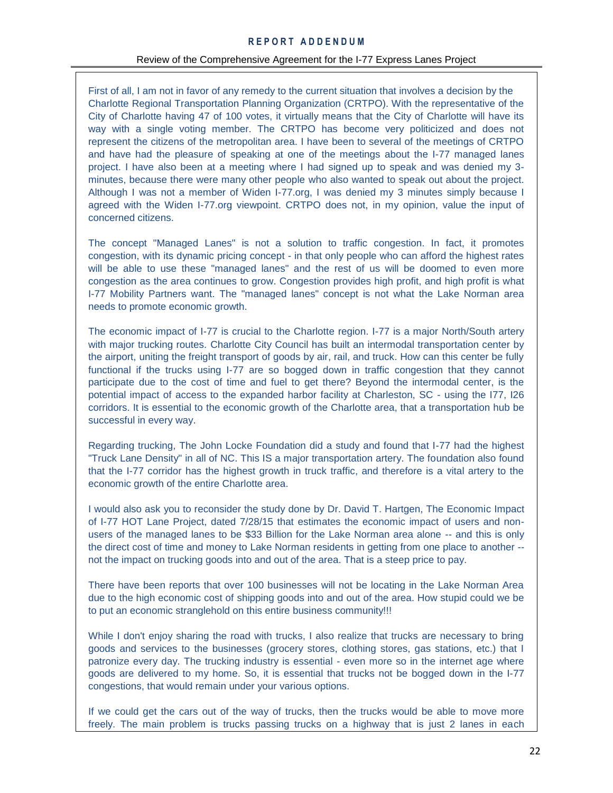### Review of the Comprehensive Agreement for the I-77 Express Lanes Project

First of all, I am not in favor of any remedy to the current situation that involves a decision by the Charlotte Regional Transportation Planning Organization (CRTPO). With the representative of the City of Charlotte having 47 of 100 votes, it virtually means that the City of Charlotte will have its way with a single voting member. The CRTPO has become very politicized and does not represent the citizens of the metropolitan area. I have been to several of the meetings of CRTPO and have had the pleasure of speaking at one of the meetings about the I-77 managed lanes project. I have also been at a meeting where I had signed up to speak and was denied my 3 minutes, because there were many other people who also wanted to speak out about the project. Although I was not a member of Widen I-77.org, I was denied my 3 minutes simply because I agreed with the Widen I-77.org viewpoint. CRTPO does not, in my opinion, value the input of concerned citizens.

The concept "Managed Lanes" is not a solution to traffic congestion. In fact, it promotes congestion, with its dynamic pricing concept - in that only people who can afford the highest rates will be able to use these "managed lanes" and the rest of us will be doomed to even more congestion as the area continues to grow. Congestion provides high profit, and high profit is what I-77 Mobility Partners want. The "managed lanes" concept is not what the Lake Norman area needs to promote economic growth.

The economic impact of I-77 is crucial to the Charlotte region. I-77 is a major North/South artery with major trucking routes. Charlotte City Council has built an intermodal transportation center by the airport, uniting the freight transport of goods by air, rail, and truck. How can this center be fully functional if the trucks using I-77 are so bogged down in traffic congestion that they cannot participate due to the cost of time and fuel to get there? Beyond the intermodal center, is the potential impact of access to the expanded harbor facility at Charleston, SC - using the I77, I26 corridors. It is essential to the economic growth of the Charlotte area, that a transportation hub be successful in every way.

Regarding trucking, The John Locke Foundation did a study and found that I-77 had the highest "Truck Lane Density" in all of NC. This IS a major transportation artery. The foundation also found that the I-77 corridor has the highest growth in truck traffic, and therefore is a vital artery to the economic growth of the entire Charlotte area.

I would also ask you to reconsider the study done by Dr. David T. Hartgen, The Economic Impact of I-77 HOT Lane Project, dated 7/28/15 that estimates the economic impact of users and nonusers of the managed lanes to be \$33 Billion for the Lake Norman area alone -- and this is only the direct cost of time and money to Lake Norman residents in getting from one place to another - not the impact on trucking goods into and out of the area. That is a steep price to pay.

There have been reports that over 100 businesses will not be locating in the Lake Norman Area due to the high economic cost of shipping goods into and out of the area. How stupid could we be to put an economic stranglehold on this entire business community!!!

While I don't enjoy sharing the road with trucks, I also realize that trucks are necessary to bring goods and services to the businesses (grocery stores, clothing stores, gas stations, etc.) that I patronize every day. The trucking industry is essential - even more so in the internet age where goods are delivered to my home. So, it is essential that trucks not be bogged down in the I-77 congestions, that would remain under your various options.

If we could get the cars out of the way of trucks, then the trucks would be able to move more freely. The main problem is trucks passing trucks on a highway that is just 2 lanes in each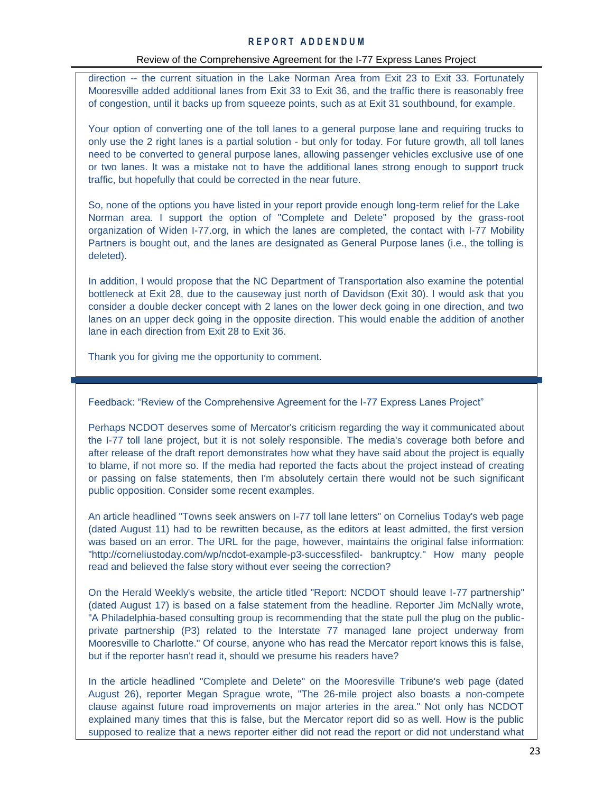direction -- the current situation in the Lake Norman Area from Exit 23 to Exit 33. Fortunately Mooresville added additional lanes from Exit 33 to Exit 36, and the traffic there is reasonably free of congestion, until it backs up from squeeze points, such as at Exit 31 southbound, for example.

Your option of converting one of the toll lanes to a general purpose lane and requiring trucks to only use the 2 right lanes is a partial solution - but only for today. For future growth, all toll lanes need to be converted to general purpose lanes, allowing passenger vehicles exclusive use of one or two lanes. It was a mistake not to have the additional lanes strong enough to support truck traffic, but hopefully that could be corrected in the near future.

So, none of the options you have listed in your report provide enough long-term relief for the Lake Norman area. I support the option of "Complete and Delete" proposed by the grass-root organization of Widen I-77.org, in which the lanes are completed, the contact with I-77 Mobility Partners is bought out, and the lanes are designated as General Purpose lanes (i.e., the tolling is deleted).

In addition, I would propose that the NC Department of Transportation also examine the potential bottleneck at Exit 28, due to the causeway just north of Davidson (Exit 30). I would ask that you consider a double decker concept with 2 lanes on the lower deck going in one direction, and two lanes on an upper deck going in the opposite direction. This would enable the addition of another lane in each direction from Exit 28 to Exit 36.

Thank you for giving me the opportunity to comment.

Feedback: "Review of the Comprehensive Agreement for the I-77 Express Lanes Project"

Perhaps NCDOT deserves some of Mercator's criticism regarding the way it communicated about the I-77 toll lane project, but it is not solely responsible. The media's coverage both before and after release of the draft report demonstrates how what they have said about the project is equally to blame, if not more so. If the media had reported the facts about the project instead of creating or passing on false statements, then I'm absolutely certain there would not be such significant public opposition. Consider some recent examples.

• An article headlined "Towns seek answers on I-77 toll lane letters" on Cornelius Today's web page (dated August 11) had to be rewritten because, as the editors at least admitted, the first version was based on an error. The URL for the page, however, maintains the original false information: "http://corneliustoday.com/wp/ncdot-example-p3-successfiled- bankruptcy." How many people read and believed the false story without ever seeing the correction?

• On the Herald Weekly's website, the article titled "Report: NCDOT should leave I-77 partnership" (dated August 17) is based on a false statement from the headline. Reporter Jim McNally wrote, "A Philadelphia-based consulting group is recommending that the state pull the plug on the publicprivate partnership (P3) related to the Interstate 77 managed lane project underway from Mooresville to Charlotte." Of course, anyone who has read the Mercator report knows this is false, but if the reporter hasn't read it, should we presume his readers have?

• In the article headlined "Complete and Delete" on the Mooresville Tribune's web page (dated August 26), reporter Megan Sprague wrote, "The 26-mile project also boasts a non-compete clause against future road improvements on major arteries in the area." Not only has NCDOT explained many times that this is false, but the Mercator report did so as well. How is the public supposed to realize that a news reporter either did not read the report or did not understand what